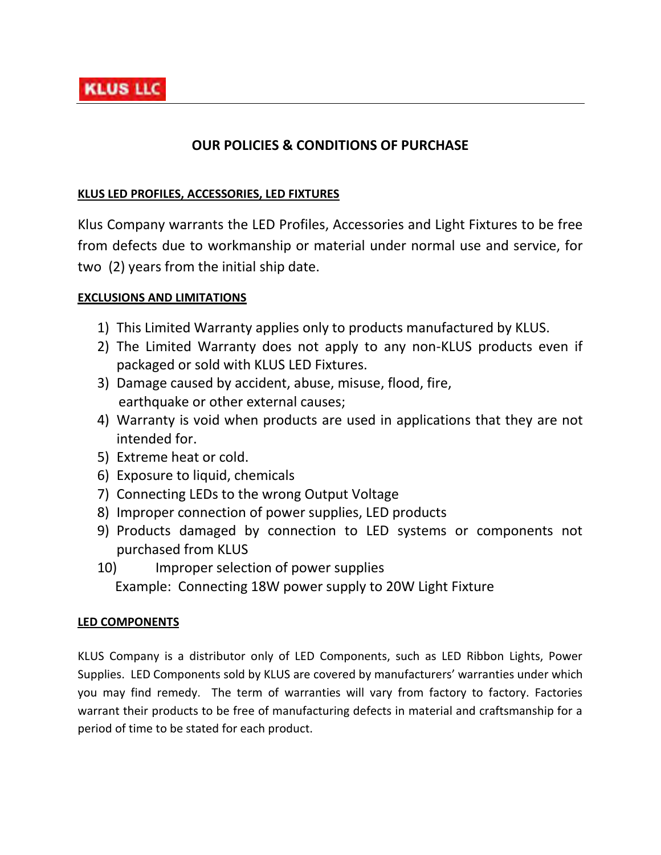# **OUR POLICIES & CONDITIONS OF PURCHASE**

### **KLUS LED PROFILES, ACCESSORIES, LED FIXTURES**

Klus Company warrants the LED Profiles, Accessories and Light Fixtures to be free from defects due to workmanship or material under normal use and service, for two (2) years from the initial ship date.

## **EXCLUSIONS AND LIMITATIONS**

- 1) This Limited Warranty applies only to products manufactured by KLUS.
- 2) The Limited Warranty does not apply to any non-KLUS products even if packaged or sold with KLUS LED Fixtures.
- 3) Damage caused by accident, abuse, misuse, flood, fire, earthquake or other external causes;
- 4) Warranty is void when products are used in applications that they are not intended for.
- 5) Extreme heat or cold.
- 6) Exposure to liquid, chemicals
- 7) Connecting LEDs to the wrong Output Voltage
- 8) Improper connection of power supplies, LED products
- 9) Products damaged by connection to LED systems or components not purchased from KLUS
- 10) Improper selection of power supplies Example: Connecting 18W power supply to 20W Light Fixture

#### **LED COMPONENTS**

KLUS Company is a distributor only of LED Components, such as LED Ribbon Lights, Power Supplies. LED Components sold by KLUS are covered by manufacturers' warranties under which you may find remedy. The term of warranties will vary from factory to factory. Factories warrant their products to be free of manufacturing defects in material and craftsmanship for a period of time to be stated for each product.